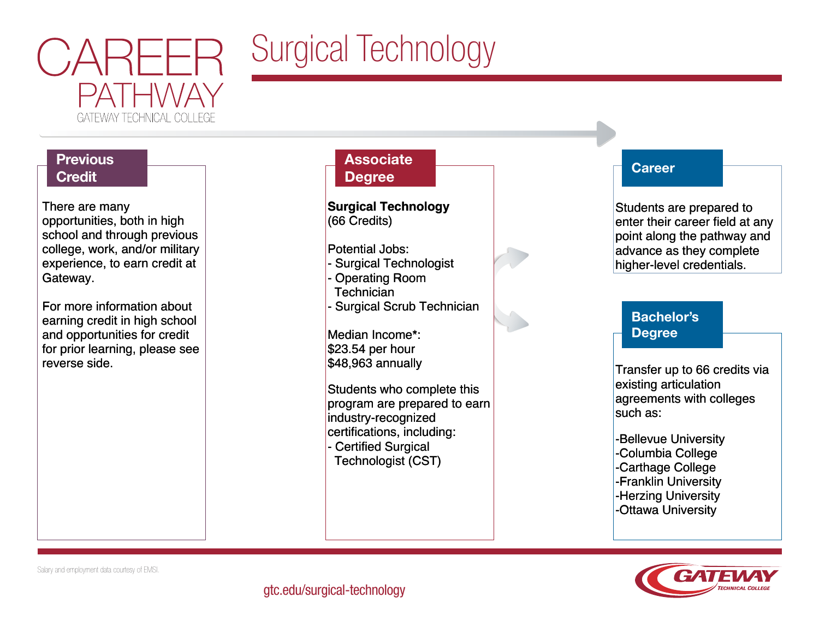

# Surgical Technology

## **Previous Credit**

There are many There are many opportunities, both in high opportunities, both in high school and through previous school and through previous college, work, and/or military college, work, and/or military experience, to earn credit at experience, to earn credit at Gateway. Gateway.

For more information about For more information about earning credit in high school earning credit in high school and opportunities for credit and opportunities for credit for prior learning, please see for prior learning, please see reverse side. reverse side.

### **Associate Degree**

**Surgical Technology Surgical Technology** (66 Credits) (66 Credits)

- Potential Jobs: Potential Jobs:
- Surgical Technologist Surgical Technologist
- Operating Room Operating Room Technician Technician
- Surgical Scrub Technician Surgical Scrub Technician

Median Income\*: Median Income\*: \$23.54 per hour \$23.54 per hour \$48,963 annually \$48,963 annually

Students who complete this Students who complete this program are prepared to earn program are prepared to earn industry-recognized industry-recognized certifications, including: certifications, including: - Certified Surgical - Certified Surgical Technologist (CST) Technologist (CST)



Students are prepared to Students are prepared to enter their career field at any enter their career field at any point along the pathway and point along the pathway and advance as they complete advance as they complete higher-level credentials. higher-level credentials.

## Bachelor's Degree

Transfer up to 66 credits via Transfer up to 66 credits via existing articulation existing articulation agreements with colleges agreements with colleges such as: such as:

-Bellevue University -Bellevue University -Columbia College -Columbia College -Carthage College -Carthage College -Franklin University -Franklin University -Herzing University -Herzing University -Ottawa University -Ottawa University



Salary and employment data courtesy of EMSI.